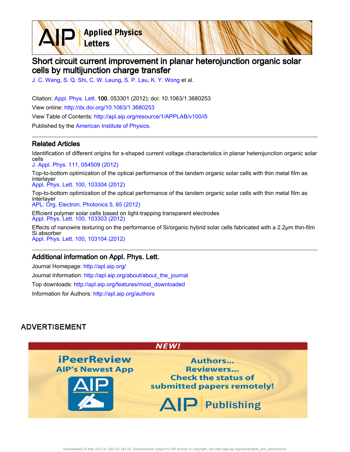**Applied Physics** Letters

# Short circuit current improvement in planar heterojunction organic solar cells by multijunction charge transfer

[J. C. Wang](http://apl.aip.org/search?sortby=newestdate&q=&searchzone=2&searchtype=searchin&faceted=faceted&key=AIP_ALL&possible1=J. C. Wang&possible1zone=author&alias=&displayid=AIP&ver=pdfcov), [S. Q. Shi,](http://apl.aip.org/search?sortby=newestdate&q=&searchzone=2&searchtype=searchin&faceted=faceted&key=AIP_ALL&possible1=S. Q. Shi&possible1zone=author&alias=&displayid=AIP&ver=pdfcov) [C. W. Leung,](http://apl.aip.org/search?sortby=newestdate&q=&searchzone=2&searchtype=searchin&faceted=faceted&key=AIP_ALL&possible1=C. W. Leung&possible1zone=author&alias=&displayid=AIP&ver=pdfcov) [S. P. Lau,](http://apl.aip.org/search?sortby=newestdate&q=&searchzone=2&searchtype=searchin&faceted=faceted&key=AIP_ALL&possible1=S. P. Lau&possible1zone=author&alias=&displayid=AIP&ver=pdfcov) [K. Y. Wong](http://apl.aip.org/search?sortby=newestdate&q=&searchzone=2&searchtype=searchin&faceted=faceted&key=AIP_ALL&possible1=K. Y. Wong&possible1zone=author&alias=&displayid=AIP&ver=pdfcov) et al.

Citation: [Appl. Phys. Lett. 1](http://apl.aip.org/?ver=pdfcov)00, 053301 (2012); doi: 10.1063/1.3680253 View online: [http://dx.doi.org/10.1063/1.3680253](http://link.aip.org/link/doi/10.1063/1.3680253?ver=pdfcov) View Table of Contents: [http://apl.aip.org/resource/1/APPLAB/v100/i5](http://apl.aip.org/resource/1/APPLAB/v100/i5?ver=pdfcov) Published by the [American Institute of Physics.](http://www.aip.org/?ver=pdfcov)

#### Related Articles

Identification of different origins for s-shaped current voltage characteristics in planar heterojunction organic solar cells [J. Appl. Phys. 111, 054509 \(2012\)](http://link.aip.org/link/doi/10.1063/1.3692050?ver=pdfcov)

Top-to-bottom optimization of the optical performance of the tandem organic solar cells with thin metal film as interlayer [Appl. Phys. Lett. 100, 103304 \(2012\)](http://link.aip.org/link/doi/10.1063/1.3692597?ver=pdfcov)

Top-to-bottom optimization of the optical performance of the tandem organic solar cells with thin metal film as interlayer [APL: Org. Electron. Photonics 5, 65 \(2012\)](http://link.aip.org/link/doi/10.1063/1.3692597?ver=pdfcov)

Efficient polymer solar cells based on light-trapping transparent electrodes [Appl. Phys. Lett. 100, 103303 \(2012\)](http://link.aip.org/link/doi/10.1063/1.3691906?ver=pdfcov)

Effects of nanowire texturing on the performance of Si/organic hybrid solar cells fabricated with a 2.2μm thin-film Si absorber [Appl. Phys. Lett. 100, 103104 \(2012\)](http://link.aip.org/link/doi/10.1063/1.3692590?ver=pdfcov)

### Additional information on Appl. Phys. Lett.

Journal Homepage: [http://apl.aip.org/](http://apl.aip.org/?ver=pdfcov) Journal Information: [http://apl.aip.org/about/about\\_the\\_journal](http://apl.aip.org/about/about_the_journal?ver=pdfcov) Top downloads: [http://apl.aip.org/features/most\\_downloaded](http://apl.aip.org/features/most_downloaded?ver=pdfcov) Information for Authors: [http://apl.aip.org/authors](http://apl.aip.org/authors?ver=pdfcov)

## **ADVERTISEMENT**

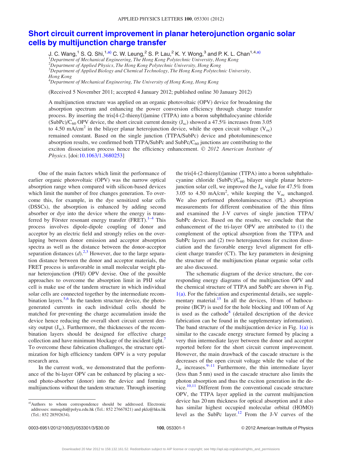## [Short circuit current improvement in planar heterojunction organic solar](http://dx.doi.org/10.1063/1.3680253) [cells by multijunction charge transfer](http://dx.doi.org/10.1063/1.3680253)

J. C. Wang,<sup>1</sup> S. Q. Shi,<sup>1,a)</sup> C. W. Leung,<sup>2</sup> S. P. Lau,<sup>2</sup> K. Y. Wong,<sup>3</sup> and P. K. L. Chan<sup>1,4,a)</sup> <sup>1</sup>Department of Mechanical Engineering, The Hong Kong Polytechnic University, Hong Kong <sup>2</sup>Department of Applied Physics, The Hong Kong Polytechnic University, Hong Kong  ${}^{3}$ Department of Applied Biology and Chemical Technology, The Hong Kong Polytechnic University, Hong Kong <sup>4</sup>Department of Mechanical Engineering, The University of Hong Kong, Hong Kong

(Received 5 November 2011; accepted 4 January 2012; published online 30 January 2012)

A multijunction structure was applied on an organic photovoltaic (OPV) device for broadening the absorption spectrum and enhancing the power conversion efficiency through charge transfer process. By inserting the tris[4-(2-thienyl)]amine (TTPA) into a boron subphthalocyanine chloride (SubPc)/C<sub>60</sub> OPV device, the short circuit current density  $(J_{\rm sc})$  showed a 47.5% increases from 3.05 to 4.50 mA/cm<sup>2</sup> in the bilayer planar heterojunction device, while the open circuit voltage ( $V_{\text{oc}}$ ) remained constant. Based on the single junction (TTPA/SubPc) device and photoluminescence absorption results, we confirmed both TTPA/SubPc and SubPc/ $C_{60}$  junctions are contributing to the exciton dissociation process hence the efficiency enhancement.  $\odot$  2012 American Institute of Physics. [doi:[10.1063/1.3680253\]](http://dx.doi.org/10.1063/1.3680253)

One of the main factors which limit the performance of earlier organic photovoltaic (OPV) was the narrow optical absorption range when compared with silicon-based devices which limit the number of free changes generation. To overcome this, for example, in the dye sensitized solar cells (DSSCs), the absorption is enhanced by adding second absorber or dye into the device where the energy is trans-ferred by Förster resonant energy transfer (FRET).<sup>[1–4](#page-3-0)</sup> This process involves dipole-dipole coupling of donor and acceptor by an electric field and strongly relies on the overlapping between donor emission and acceptor absorption spectra as well as the distance between the donor-acceptor separation distances  $(d)$ .<sup>[2,3](#page-3-0)</sup> However, due to the large separation distance between the donor and acceptor materials, the FRET process is unfavorable in small molecular weight planar heterojunction (PHJ) OPV devise. One of the possible approaches to overcome the absorption limit in PHJ solar cell is make use of the tandem structure in which individual solar cells are connected together by the intermediate recom-bination layers.<sup>[5,6](#page-3-0)</sup> In the tandem structure device, the photogenerated currents in each individual cells should be matched for preventing the charge accumulation inside the device hence reducing the overall short circuit current density output  $(J_{sc})$ . Furthermore, the thicknesses of the recombination layers should be designed for effective charge collection and have minimum blockage of the incident light. To overcome these fabrication challenges, the structure optimization for high efficiency tandem OPV is a very popular research area.

In the current work, we demonstrated that the performance of the bi-layer OPV can be enhanced by placing a second photo-absorber (donor) into the device and forming multijunctions without the tandem structure. Through inserting the tris[4-(2-thienyl)]amine (TTPA) into a boron subphthalocyanine chloride (SubPc)/ $C_{60}$  bilayer single planar heterojunction solar cell, we improved the  $J_{\rm sc}$  value for 47.5% from 3.05 to 4.50 mA/cm<sup>2</sup>, while keeping the  $V_{\text{oc}}$  unchanged. We also performed photoluminescence (PL) absorption measurements for different combination of the thin films and examined the J-V curves of single junction TTPA/ SubPc device. Based on the results, we conclude that the enhancement of the tri-layer OPV are attributed to (1) the complement of the optical absorption from the TTPA and SubPc layers and (2) two heterojunctions for exciton dissociation and the favorable energy level alignment for efficient charge transfer (CT). The key parameters in designing the structure of the multijunction planar organic solar cells are also discussed.

The schematic diagram of the device structure, the corresponding energy diagrams of the multijunction OPV and the chemical structure of TTPA and SubPc are shown in Fig.  $1(a)$ . For the fabrication and experimental details, see supplementary material. $15$  In all the devices, 10 nm of bathocuproine (BCP) is used for the hole blocking and 100 nm of Ag is used as the cathode<sup>[8](#page-3-0)</sup> (detailed description of the device fabrication can be found in the supplementary information). The band structure of the multijucntion device in Fig.  $1(a)$  is similar to the cascade energy structure formed by placing a very thin intermediate layer between the donor and acceptor reported before for the short circuit current improvement. However, the main drawback of the cascade structure is the decreases of the open circuit voltage while the value of the  $J_{\rm sc}$  increases.<sup>[9–11](#page-3-0)</sup> Furthermore, the thin intermediate layer (less than 5 nm) used in the cascade structure also limits the photon absorption and thus the exciton generation in the device. $10,11$  Different from the conventional cascade structure OPV, the TTPA layer applied in the current multijunction device has 20 nm thickness for optical absorption and it also has similar highest occupied molecular orbital (HOMO) level as the SubPc layer.<sup>[12](#page-3-0)</sup> From the J-V curves of the

a)Authors to whom correspondence should be addressed. Electronic addresses: mmsqshi@polyu.edu.hk (Tel.: 852 27667821) and pklc@hku.hk (Tel.: 852 28592634).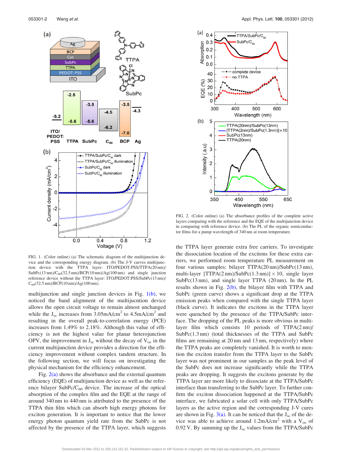<span id="page-2-0"></span>

FIG. 1. (Color online) (a) The schematic diagram of the multijunction device and the corresponding energy diagram. (b) The J-V curves multijunction device with the TTPA layer: ITO/PEDOT:PSS/TTPA(20 nm)/  $SubPc(13 nm)/C_{60}(32.5 nm)/BCP(10 nm)/Ag(100 nm)$  and single junction reference device without the TTPA layer: ITO/PEDOT:PSS/SubPc(13 nm)/  $C_{60}(32.5 \text{ nm})/BCP(10 \text{ nm})/Ag(100 \text{ nm}).$ 

multijunction and single junction devices in Fig.  $1(b)$ , we noticed the band alignment of the multijucntion device allows the open circuit voltage to remain almost unchanged while the  $J_{\rm sc}$  increases from 3.05mA/cm<sup>2</sup> to 4.5mA/cm<sup>2</sup> and resulting in the overall peak-to-correlation energy (PCE) increases from 1.49% to 2.18%. Although this value of efficiency is not the highest value for planar heterojunction OPV, the improvement in  $J_{\rm sc}$  without the decay of  $V_{\rm oc}$  in the current multijunction device provides a direction for the efficiency improvement without complex tandem structure. In the following section, we will focus on investigating the physical mechanism for the efficiency enhancement.

Fig.  $2(a)$  shows the absorbance and the external quantum efficiency (EQE) of multijunction device as well as the reference bilayer SubPc/ $C_{60}$  device. The increase of the optical absorption of the complex film and the EQE at the range of around 340 nm to 440 nm is attributed to the presence of the TTPA thin film which can absorb high energy photons for exciton generation. It is important to notice that the lower energy photon quantum yield rate from the SubPc is not affected by the presence of the TTPA layer, which suggests



FIG. 2. (Color online) (a) The absorbance profiles of the complete active layers comparing with the reference and the EQE of the multijunction device in comparing with reference device. (b) The PL of the organic semiconductor films for a pump wavelength of 340 nm at room temperature.

the TTPA layer generate extra free carriers. To investigate the dissociation location of the excitons for these extra carriers, we performed room temperature PL measurement on four various samples: bilayer TTPA(20 nm)/SubPc(13 nm), multi-layer [TTPA(2 nm)/SubPc(1.3 nm)]  $\times$  10, single layer SubPc(13 nm), and single layer TTPA (20 nm). In the PL results shown in Fig.  $2(b)$ , the bilayer film with TTPA and SubPc (green curve) shows a significant drop at the TTPA emission peaks when compared with the single TTPA layer (black curve). It indicates the excitons in the TTPA layer were quenched by the presence of the TTPA/SubPc interface. The dropping of the PL peaks is more obvious in multilayer film which consists 10 periods of TTPA(2 nm)/ SubPc(1.3 nm) (total thicknesses of the TTPA and SubPc films are remaining at 20 nm and 13 nm, respectively) where the TTPA peaks are completely vanished. It is worth to mention the exciton transfer from the TTPA layer to the SubPc layer was not prominent in our samples as the peak level of the SubPc does not increase significantly while the TTPA peaks are dropping. It suggests the excitons generate by the TTPA layer are more likely to dissociate at the TTPA/SubPc interface than transferring to the SubPc layer. To further confirm the exciton dissociation happened at the TTPA/SubPc interface, we fabricated a solar cell with only TTPA/SubPc layers as the active region and the corresponding J-V cures are shown in Fig.  $3(a)$ . It can be noticed that the J<sub>sc</sub> of the device was able to achieve around 1.2mA/cm<sup>2</sup> with a  $V_{\text{oc}}$  of 0.92 V. By summing up the  $J_{\rm sc}$  values from the TTPA/SubPc